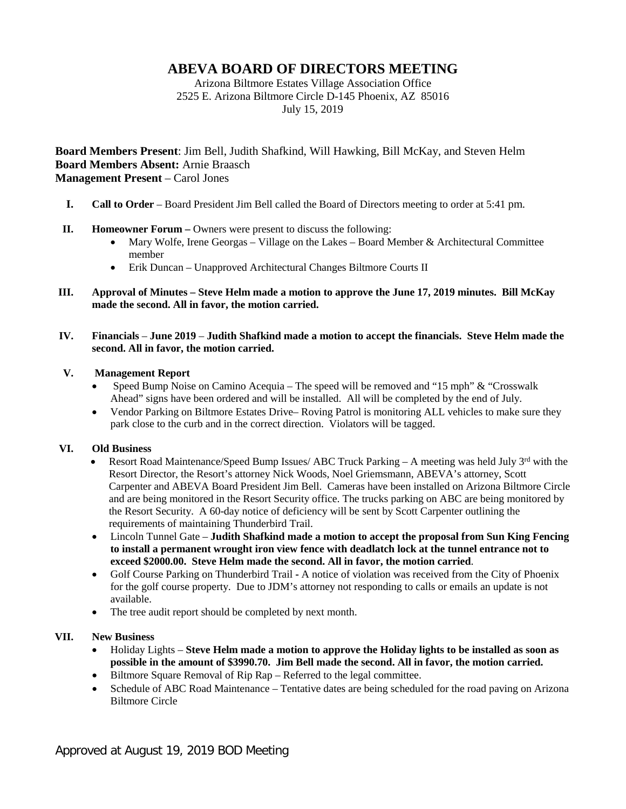# **ABEVA BOARD OF DIRECTORS MEETING**

Arizona Biltmore Estates Village Association Office 2525 E. Arizona Biltmore Circle D-145 Phoenix, AZ 85016 July 15, 2019

**Board Members Present**: Jim Bell, Judith Shafkind, Will Hawking, Bill McKay, and Steven Helm **Board Members Absent:** Arnie Braasch **Management Present** – Carol Jones

- **I. Call to Order** Board President Jim Bell called the Board of Directors meeting to order at 5:41 pm.
- **II. Homeowner Forum –** Owners were present to discuss the following:
	- Mary Wolfe, Irene Georgas Village on the Lakes Board Member & Architectural Committee member
	- Erik Duncan Unapproved Architectural Changes Biltmore Courts II
- **III. Approval of Minutes – Steve Helm made a motion to approve the June 17, 2019 minutes. Bill McKay made the second. All in favor, the motion carried.**
- **IV. Financials June 2019 Judith Shafkind made a motion to accept the financials. Steve Helm made the second. All in favor, the motion carried.**

### **V. Management Report**

- Speed Bump Noise on Camino Acequia The speed will be removed and "15 mph" & "Crosswalk Ahead" signs have been ordered and will be installed. All will be completed by the end of July.
- Vendor Parking on Biltmore Estates Drive–Roving Patrol is monitoring ALL vehicles to make sure they park close to the curb and in the correct direction. Violators will be tagged.

#### **VI. Old Business**

- Resort Road Maintenance/Speed Bump Issues/ ABC Truck Parking A meeting was held July  $3<sup>rd</sup>$  with the Resort Director, the Resort's attorney Nick Woods, Noel Griemsmann, ABEVA's attorney, Scott Carpenter and ABEVA Board President Jim Bell. Cameras have been installed on Arizona Biltmore Circle and are being monitored in the Resort Security office. The trucks parking on ABC are being monitored by the Resort Security. A 60-day notice of deficiency will be sent by Scott Carpenter outlining the requirements of maintaining Thunderbird Trail.
- Lincoln Tunnel Gate **Judith Shafkind made a motion to accept the proposal from Sun King Fencing to install a permanent wrought iron view fence with deadlatch lock at the tunnel entrance not to exceed \$2000.00. Steve Helm made the second. All in favor, the motion carried**.
- Golf Course Parking on Thunderbird Trail **-** A notice of violation was received from the City of Phoenix for the golf course property. Due to JDM's attorney not responding to calls or emails an update is not available.
- The tree audit report should be completed by next month.

## **VII. New Business**

- Holiday Lights **Steve Helm made a motion to approve the Holiday lights to be installed as soon as possible in the amount of \$3990.70. Jim Bell made the second. All in favor, the motion carried.**
- Biltmore Square Removal of Rip Rap Referred to the legal committee.
- Schedule of ABC Road Maintenance Tentative dates are being scheduled for the road paving on Arizona Biltmore Circle

Approved at August 19, 2019 BOD Meeting